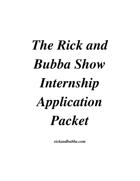# *The Rick and Bubba Show Internship Application Packet*

*rickandbubba.com*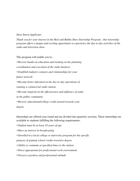#### *Dear Intern Applicant:*

*Thank you for your interest in the Rick and Bubba Show Internship Program. Our internship program of ers a unique and exciting opportunity to experience the day-to-day activities of the radio and television show.*

This program will enable you to:

▪ *Receive hands-on education and training on the planning, coordination and execution of the radio business.* ▪ *Establish industry contacts and relationships for your future network* ▪ *Become better informed on the day-to-day operations of running a commercial radio station.* ▪ *Become inspired on the ef ectiveness and influence of radio in the public community* ▪ *Receive educational/college credit earned towards your degree*

Internships are offered year round and are divided into quarterly sessions. These internships are available to students fulfilling the following requirements:

- *Student must be at least 18 years of age*
- *Have an interest in broadcasting*
- *Enrolled in a local college or university program for the specific*

*purpose of gaining school credits toward a degree*

- *Ability to commute at specified times to the station*
- *Dress appropriate for professional work environment*
- *Possess a positive and professional attitude*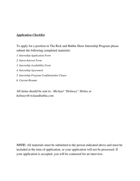## *Application Checklist*

To apply for a position in The Rick and Bubba Show Internship Program please submit the following completed materials:

- *1. Internship Application Form*
- *2. Intern Interest Form*
- *3. Internship Availability Form*
- *4. Internship Agreement*
- *5. Internship Program Confidentiality Clause*
- *6. Current Resume*

All items should be sent to: *Michael "Helmsey" Helms at helmsey@rickandbubba.com*

*NOTE:* All materials must be submitted to the person indicated above and must be included at the time of application, or your application will not be processed. If your application is accepted, you will be contacted for an interview.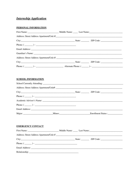# **Internship Application**

#### PERSONAL INFORMATION

| Phone: $(\_\_)$ - $\_\_$ |  |
|--------------------------|--|
|                          |  |
|                          |  |
|                          |  |
|                          |  |
|                          |  |

#### **SCHOOL INFORMATION**

| Phone: $(\_\_)$ - $\_\_$ |  |  |
|--------------------------|--|--|
|                          |  |  |
|                          |  |  |

#### **EMERGENCY CONTACT**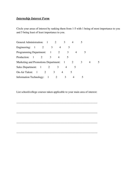# *Internship Interest Form*

Circle your areas of interest by ranking them from 1-5 with 1 being of most importance to you and 5 being least of least importance to you.

| General Administration: 1              |                          |   |                |               |   |                |   |   |   |  |  |
|----------------------------------------|--------------------------|---|----------------|---------------|---|----------------|---|---|---|--|--|
| Engineering: $1 \t 2$                  |                          |   |                | 3             | 4 |                |   |   |   |  |  |
| Programming Department: 1              |                          |   |                |               |   |                | 3 |   |   |  |  |
| Production: 1                          |                          | 2 |                | 3             |   |                |   |   |   |  |  |
| Marketing and Promotions Department: 1 |                          |   |                |               |   |                |   |   | 3 |  |  |
| Sales Department: 1                    |                          |   | 2              |               | 3 |                | 4 | 5 |   |  |  |
| On-Air Talent:                         | $\overline{\phantom{a}}$ |   | 2              | $\mathcal{F}$ |   | $\overline{4}$ |   |   |   |  |  |
| <b>Information Technology:</b>         |                          |   | $\overline{1}$ |               |   | 3              |   |   |   |  |  |

List school/college courses taken applicable to your main area of interest:

 $\overline{\phantom{a}}$  , and the contract of the contract of the contract of the contract of the contract of the contract of the contract of the contract of the contract of the contract of the contract of the contract of the contrac

 $\overline{\phantom{a}}$  , and the contract of the contract of the contract of the contract of the contract of the contract of the contract of the contract of the contract of the contract of the contract of the contract of the contrac

\_\_\_\_\_\_\_\_\_\_\_\_\_\_\_\_\_\_\_\_\_\_\_\_\_\_\_\_\_\_\_\_\_\_\_\_\_\_\_\_\_\_\_\_\_\_\_\_\_\_\_\_\_\_\_\_\_\_\_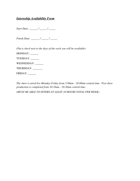## *Internship Availability Form*

*Start Date: \_\_\_\_\_\_ / \_\_\_\_\_ / \_\_\_\_\_*

*Finish Date: \_\_\_\_\_\_ / \_\_\_\_\_ / \_\_\_\_\_*

*(Put a check next to the days of the week you will be available)* MONDAY: \_\_\_\_\_\_ TUESDAY: WEDNESDAY: THURSDAY: FRIDAY: \_\_\_\_\_\_

*The show is aired live Monday-Friday from 5:00am - 10:00am central time. Post show production is completed from 10:10am - 10:30am central time. (MUST BE ABLE TO INTERN AT LEAST 10 HOURS TOTAL PER WEEK)*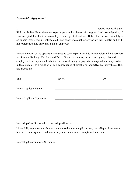### *Internship Agreement*

I, the contract of the contract of the contract of the contract of the contract of the hereby request that the Rick and Bubba Show allow me to participate in their internship program. I acknowledge that, if I am accepted, I will not be an employee or an agent of Rick and Bubba Inc, but will act solely as an unpaid intern, gaining college credit and experience exclusively for my own benefit, and will not represent to any party that I am an employee.

In consideration of the opportunity to acquire such experience, I do hereby release, hold harmless and forever discharge The Rick and Bubba Show, its owners, successors, agents, heirs and employees from any and all liability for personal injury or property damage which I may sustain in the course of, as a result of, or as a consequence of directly or indirectly, my internship at Rick and Bubba Inc.

| This                          | day of $\frac{1}{\sqrt{1-\frac{1}{2}}}\left\{ \frac{1}{2}, \frac{1}{2}, \frac{1}{2}, \frac{1}{2}\right\}$ | 20 |
|-------------------------------|-----------------------------------------------------------------------------------------------------------|----|
|                               |                                                                                                           |    |
| <b>Intern Applicant Name:</b> |                                                                                                           |    |
|                               |                                                                                                           |    |
| Intern Applicant Signature:   |                                                                                                           |    |

Internship Coordinator where internship will occur:

I have fully explained the above statement to the intern applicant. Any and all questions intern has have been explained and intern fully understands above- captioned statement.

Internship Coordinator's Signature: \_\_\_\_\_\_\_\_\_\_\_\_\_\_\_\_\_\_\_\_\_\_\_\_\_\_\_\_\_\_\_\_\_\_\_\_\_\_\_\_\_\_\_\_\_\_\_\_\_